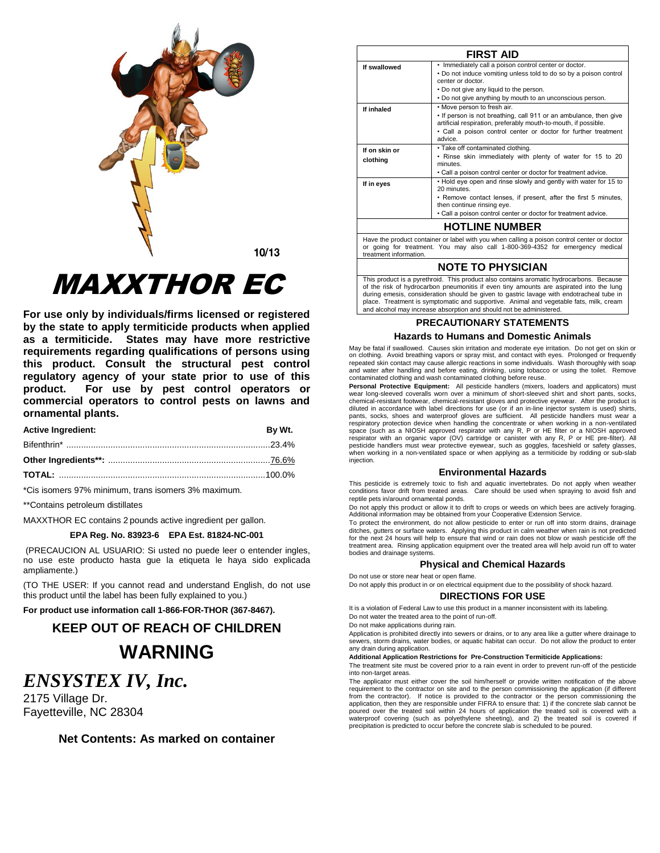

 $10/13$ 

# MAXXTHOR EC

**For use only by individuals/firms licensed or registered by the state to apply termiticide products when applied as a termiticide. States may have more restrictive requirements regarding qualifications of persons using this product. Consult the structural pest control regulatory agency of your state prior to use of this product. For use by pest control operators or commercial operators to control pests on lawns and ornamental plants.**

| <b>Active Ingredient:</b> | Bv Wt. |
|---------------------------|--------|
|                           |        |
|                           |        |
|                           |        |

\*Cis isomers 97% minimum, trans isomers 3% maximum.

\*\*Contains petroleum distillates

MAXXTHOR EC contains 2 pounds active ingredient per gallon.

## **EPA Reg. No. 83923-6 EPA Est. 81824-NC-001**

(PRECAUCION AL USUARIO: Si usted no puede leer o entender ingles, no use este producto hasta gue la etiqueta le haya sido explicada ampliamente.)

(TO THE USER: If you cannot read and understand English, do not use this product until the label has been fully explained to you.)

**For product use information call 1-866-FOR-THOR (367-8467).**

## **KEEP OUT OF REACH OF CHILDREN WARNING**

## *ENSYSTEX IV, Inc.*

2175 Village Dr. Fayetteville, NC 28304

**Net Contents: As marked on container**

|                           | <b>FIRST AID</b>                                                                                                                               |  |  |  |
|---------------------------|------------------------------------------------------------------------------------------------------------------------------------------------|--|--|--|
| If swallowed              | • Immediately call a poison control center or doctor.<br>• Do not induce vomiting unless told to do so by a poison control<br>center or doctor |  |  |  |
|                           | . Do not give any liquid to the person.                                                                                                        |  |  |  |
|                           | . Do not give anything by mouth to an unconscious person.                                                                                      |  |  |  |
| If inhaled                | • Move person to fresh air.                                                                                                                    |  |  |  |
|                           | . If person is not breathing, call 911 or an ambulance, then give<br>artificial respiration, preferably mouth-to-mouth, if possible.           |  |  |  |
|                           | • Call a poison control center or doctor for further treatment<br>advice.                                                                      |  |  |  |
| If on skin or<br>clothing | • Take off contaminated clothing.<br>. Rinse skin immediately with plenty of water for 15 to 20<br>minutes.                                    |  |  |  |
|                           | . Call a poison control center or doctor for treatment advice.                                                                                 |  |  |  |
| If in eyes                | . Hold eye open and rinse slowly and gently with water for 15 to<br>20 minutes                                                                 |  |  |  |
|                           | • Remove contact lenses, if present, after the first 5 minutes,<br>then continue rinsing eye.                                                  |  |  |  |
|                           | . Call a poison control center or doctor for treatment advice.                                                                                 |  |  |  |
|                           | <b>HOTLINE NUMBER</b>                                                                                                                          |  |  |  |
|                           | Have the product container or label with you when calling a poison control center or doctor                                                    |  |  |  |

Have the product container or label with you when calling a poison control center or doctor or going for treatment. You may also call 1-800-369-4352 for emergency medical treatment information.

## **NOTE TO PHYSICIAN**

This product is a pyrethroid. This product also contains aromatic hydrocarbons. Because of the risk of hydrocarbon pneumonitis if even tiny amounts are aspirated into the lung during emesis, consideration should be given to gastric lavage with endotracheal tube in place. Treatment is symptomatic and supportive. Animal and vegetable fats, milk, cream and alcohol may increase absorption and should not be administered.

## **PRECAUTIONARY STATEMENTS Hazards to Humans and Domestic Animals**

May be fatal if swallowed. Causes skin irritation and moderate eye irritation. Do not get on skin or on clothing. Avoid breathing vapors or spray mist, and contact with eyes. Prolonged or frequently repeated skin contact may cause allergic reactions in some individuals. Wash thoroughly with soap and water after handling and before eating, drinking, using tobacco or using the toilet. Remove contaminated clothing and wash contaminated clothing before reuse.

Personal Protective Equipment: All pesticide handlers (mixers, loaders and applicators) must wear long-sleeved coveralls worn over a minimum of short-sleeved shirt and short pants, socks, chemical-resistant footwear, chemical-resistant gloves and protective eyewear. After the product is diluted in accordance with label directions for use (or if an in-line injector system is used) shirts, pants, socks, shoes and waterproof gloves are sufficient. All pesticide handlers must wear a respiratory protection device when handling the concentrate or when working in a non-ventilated space (such as a NIOSH approved respirator with any R, P or HE filter or a NIOSH approved respirator with an organic vapor (OV) cartridge or canister with any R, P or HE pre-filter). All pesticide handlers must wear protective eyewear, such as goggles, faceshield or safety glass when working in a non-ventilated space or when applying as a termiticide by rodding or sub-slab injection.

#### **Environmental Hazards**

This pesticide is extremely toxic to fish and aquatic invertebrates. Do not apply when weather conditions favor drift from treated areas. Care should be used when spraying to avoid fish and reptile pets in/around ornamental ponds.

Do not apply this product or allow it to drift to crops or weeds on which bees are actively foraging. Additional information may be obtained from your Cooperative Extension Service.

To protect the environment, do not allow pesticide to enter or run off into storm drains, drainage ditches, gutters or surface waters. Applying this product in calm weather when rain is not predicted for the next 24 hours will help to ensure that wind or rain does not blow or wash pesticide off the treatment area. Rinsing application equipment over the treated area will help avoid run off to water bodies and drainage systems.

#### **Physical and Chemical Hazards**

Do not use or store near heat or open flame.

Do not apply this product in or on electrical equipment due to the possibility of shock hazard. **DIRECTIONS FOR USE**

It is a violation of Federal Law to use this product in a manner inconsistent with its labeling.

Do not water the treated area to the point of run-off.

Do not make applications during rain.

Application is prohibited directly into sewers or drains, or to any area like a gutter where drainage to sewers, storm drains, water bodies, or aquatic habitat can occur. Do not allow the product to enter any drain during application.

**Additional Application Restrictions for Pre-Construction Termiticide Applications:**

The treatment site must be covered prior to a rain event in order to prevent run-off of the pesticide into non-target areas.

The applicator must either cover the soil him/herself or provide written notification of the above requirement to the contractor on site and to the person commissioning the application (if different from the contractor). If notice is provided to the contractor or the person commissioning the application, then they are responsible under FIFRA to ensure that: 1) if the concrete slab cannot be poured over the treated soil within 24 hours of application the treated soil is covered with a waterproof covering (such as polyethylene sheeting), and 2) the treated soil is covered if precipitation is predicted to occur before the concrete slab is scheduled to be poured.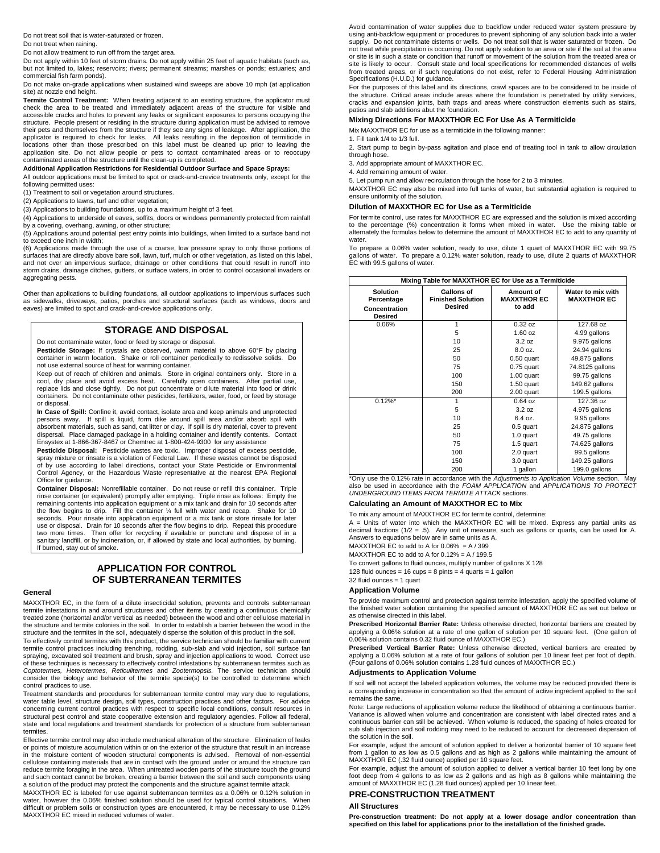Do not treat soil that is water-saturated or frozen.

Do not treat when raining.

Do not allow treatment to run off from the target area.

Do not apply within 10 feet of storm drains. Do not apply within 25 feet of aquatic habitats (such as, but not limited to, lakes; reservoirs; rivers; permanent streams; marshes or ponds; estuaries; and commercial fish farm ponds).

Do not make on-grade applications when sustained wind sweeps are above 10 mph (at application site) at nozzle end height.

**Termite Control Treatment:** When treating adjacent to an existing structure, the applicator must<br>check the area to be treated and immediately adjacent areas of the structure for visible and<br>accessible cracks and holes to structure. People present or residing in the structure during application must be advised to remove their pets and themselves from the structure if they see any signs of leakage. After application, the<br>applicator is required to check for leaks. All leaks resulting in the deposition of termiticide in<br>locations other than application site. Do not allow people or pets to contact contaminated areas or to reoccupy contaminated areas of the structure until the clean-up is completed.

#### **Additional Application Restrictions for Residential Outdoor Surface and Space Sprays:**

All outdoor applications must be limited to spot or crack-and-crevice treatments only, except for the following permitted uses:

(1) Treatment to soil or vegetation around structures.

(2) Applications to lawns, turf and other vegetation;

(3) Applications to building foundations, up to a maximum height of 3 feet.

(4) Applications to underside of eaves, soffits, doors or windows permanently protected from rainfall

by a covering, overhang, awning, or other structure; (5) Applications around potential pest entry points into buildings, when limited to a surface band not

to exceed one inch in width; (6) Applications made through the use of a coarse, low pressure spray to only those portions of surfaces that are directly above bare soil, lawn, turf, mulch or other vegetation, as listed on this label, and not over an impervious surface, drainage or other conditions that could result in runoff into storm drains, drainage ditches, gutters, or surface waters, in order to control occasional invaders or aggregating pests.

Other than applications to building foundations, all outdoor applications to impervious surfaces such as sidewalks, driveways, patios, porches and structural surfaces (such as windows, doors and eaves) are limited to spot and crack-and-crevice applications only.

## **STORAGE AND DISPOSAL**

Do not contaminate water, food or feed by storage or disposal.

**Pesticide Storage:** If crystals are observed, warm material to above 60°F by placing container in warm location. Shake or roll container periodically to redissolve solids. Do not use external source of heat for warming container.

Keep out of reach of children and animals. Store in original containers only. Store in a<br>cool, dry place and avoid excess heat. Carefully open containers. After partial use,<br>replace lids and close tighty. Do not put concen or disposal.

**In Case of Spill:** Confine it, avoid contact, isolate area and keep animals and unprotected persons away. If spill is liquid, form dike around spill area and/or absorb spill with absorbent materials, such as sand, cat litter or clay. If spill is dry material, cover to prevent dispersal. Place damaged package in a holding container and identify contents. Contact Ensystex at 1-866-367-8467 or Chemtrec at 1-800-424-9300 for any assistance

**Pesticide Disposal:** Pesticide wastes are toxic. Improper disposal of excess pesticide, spray mixture or rinsate is a violation of Federal Law. If these wastes cannot be disposed of by use according to label directions, contact your State Pesticide or Environmental Control Agency, or the Hazardous Waste representative at the nearest EPA Regional Office for guidance.

**Container Disposal:** Nonrefillable container. Do not reuse or refill this container. Triple rinse container (or equivalent) promptly after emptying. Triple rinse as follows: Empty the remaining contents into application equipment or a mix tank and drain for 10 seconds after the flow begins to drip. Fill the container ¼ full with water and recap. Shake for 10 seconds. Pour rinsate into application equipment or a mix tank or store rinsate for later use or disposal. Drain for 10 seconds after the flow begins to drip. Repeat this procedure two more times. Then offer for recycling if available or puncture and dispose of in a sanitary landfill, or by incineration, or, if allowed by state and local authorities, by burning. If burned, stay out of smoke.

## **APPLICATION FOR CONTROL OF SUBTERRANEAN TERMITES**

#### **General**

MAXXTHOR EC, in the form of a dilute insecticidal solution, prevents and controls subterranean termite infestations in and around structures and other items by creating a continuous chemically treated zone (horizontal and/or vertical as needed) between the wood and other cellulose material in the structure and termite colonies in the soil. In order to establish a barrier between the wood in the

structure and the termites in the soil, adequately disperse the solution of this product in the soil. To effectively control termites with this product, the service technician should be familiar with current termite control practices including trenching, rodding, sub-slab and void injection, soil surface fan spraying, excavated soil treatment and brush, spray and injection applications to wood. Correct use<br>of these techniques is necessary to effectively control infestations by subterranean termites such as<br>*Coptotermes, Hetero* consider the biology and behavior of the termite specie(s) to be controlled to determine which control practices to use.

Treatment standards and procedures for subterranean termite control may vary due to regulations, water table level, structure design, soil types, construction practices and other factors. For advice concerning current control practices with respect to specific local conditions, consult resources in structural pest control and state cooperative extension and regulatory agencies. Follow all federal, state and local regulations and treatment standards for protection of a structure from subterranean termites.

Effective termite control may also include mechanical alteration of the structure. Elimination of leaks or points of moisture accumulation within or on the exterior of the structure that result in an increase in the moisture content of wooden structural components is advised. Removal of non-essential cellulose containing materials that are in contact with the ground under or around the structure can reduce termite foraging in the area. When untreated wooden parts of the structure touch the ground and such contact cannot be broken, creating a barrier between the soil and such components using a solution of the product may protect the components and the structure against termite attack.

MAXXTHOR EC is labeled for use against subterranean termites as a 0.06% or 0.12% solution in water, however the 0.06% finished solution should be used for typical control situations. When difficult or problem soils or construction types are encountered, it may be necessary to use 0.12% MAXXTHOR EC mixed in reduced volumes of water.

Avoid contamination of water supplies due to backflow under reduced water system pressure by using anti-backflow equipment or procedures to prevent siphoning of any solution back into a water supply. Do not contaminate cisterns or wells. Do not treat soil that is water saturated or frozen. Do not treat while precipitation is occurring. Do not apply solution to an area or site if the soil at the area or site is in such a state or condition that runoff or movement of the solution from the treated area or site is likely to occur. Consult state and local specifications for recommended distances of wells from treated areas, or if such regulations do not exist, refer to Federal Housing Administration Specifications (H.U.D.) for guidance.

For the purposes of this label and its directions, crawl spaces are to be considered to be inside of the structure. Critical areas include areas where the foundation is penetrated by utility services, cracks and expansion joints, bath traps and areas where construction elements such as stairs, patios and slab additions abut the foundation.

#### **Mixing Directions For MAXXTHOR EC For Use As A Termiticide**

Mix MAXXTHOR EC for use as a termiticide in the following manner:

1. Fill tank 1/4 to 1/3 full.

2. Start pump to begin by-pass agitation and place end of treating tool in tank to allow circulation through hose.

3. Add appropriate amount of MAXXTHOR EC.

4. Add remaining amount of water.

5. Let pump run and allow recirculation through the hose for 2 to 3 minutes.

MAXXTHOR EC may also be mixed into full tanks of water, but substantial agitation is required to ensure uniformity of the solution.

#### **Dilution of MAXXTHOR EC for Use as a Termiticide**

For termite control, use rates for MAXXTHOR EC are expressed and the solution is mixed according to the percentage (%) concentration it forms when mixed in water. Use the mixing table or alternately the formulas below to determine the amount of MAXXTHOR EC to add to any quantity of water.

To prepare a 0.06% water solution, ready to use, dilute 1 quart of MAXXTHOR EC with 99.75 gallons of water. To prepare a 0.12% water solution, ready to use, dilute 2 quarts of MAXXTHOR EC with 99.5 gallons of water.

| Mixing Table for MAXXTHOR EC for Use as a Termiticide     |                                                          |                                           |                                         |
|-----------------------------------------------------------|----------------------------------------------------------|-------------------------------------------|-----------------------------------------|
| <b>Solution</b><br>Percentage<br>Concentration<br>Desired | <b>Gallons of</b><br><b>Finished Solution</b><br>Desired | Amount of<br><b>MAXXTHOR EC</b><br>to add | Water to mix with<br><b>MAXXTHOR EC</b> |
| 0.06%                                                     | 1                                                        | $0.32$ oz                                 | 127.68 oz                               |
|                                                           | 5                                                        | $1.60$ oz                                 | 4.99 gallons                            |
|                                                           | 10                                                       | 3.2 oz                                    | 9.975 gallons                           |
|                                                           | 25                                                       | 8.0 oz.                                   | 24.94 gallons                           |
|                                                           | 50                                                       | $0.50$ quart                              | 49.875 gallons                          |
|                                                           | 75                                                       | $0.75$ quart                              | 74.8125 gallons                         |
|                                                           | 100                                                      | $1.00$ quart                              | 99.75 gallons                           |
|                                                           | 150                                                      | 1.50 quart                                | 149.62 gallons                          |
|                                                           | 200                                                      | 2.00 quart                                | 199.5 gallons                           |
| $0.12\%$ *                                                | 1                                                        | $0.64$ oz                                 | 127.36 oz                               |
|                                                           | 5                                                        | 3.2 oz                                    | 4.975 gallons                           |
|                                                           | 10                                                       | 6.4 oz.                                   | 9.95 gallons                            |
|                                                           | 25                                                       | 0.5 quart                                 | 24.875 gallons                          |
|                                                           | 50                                                       | 1.0 quart                                 | 49.75 gallons                           |
|                                                           | 75                                                       | 1.5 quart                                 | 74.625 gallons                          |
|                                                           | 100                                                      | 2.0 quart                                 | 99.5 gallons                            |
|                                                           | 150                                                      | 3.0 quart                                 | 149.25 gallons                          |
|                                                           | 200                                                      | 1 gallon                                  | 199.0 gallons                           |

\*Only use the 0.12% rate in accordance with the *Adjustments to Application Volume* section. May also be used in accordance with the *FOAM APPLICATION* and *APPLICATIONS TO PROTECT UNDERGROUND ITEMS FROM TERMITE ATTACK* sections.

#### **Calculating an Amount of MAXXTHOR EC to Mix**

To mix any amount of MAXXTHOR EC for termite control, determine:

A = Units of water into which the MAXXTHOR EC will be mixed. Express any partial units as decimal fractions (1/2 = .5). Any unit of measure, such as gallons or quarts, can be used for A. Answers to equations below are in same units as A.

MAXXTHOR EC to add to A for  $0.06\% = A / 399$ 

MAXXTHOR EC to add to A for 0.12% = A / 199.5

To convert gallons to fluid ounces, multiply number of gallons X 128

128 fluid ounces =  $16$  cups = 8 pints = 4 quarts = 1 gallon

## 32 fluid ounces = 1 quart

#### **Application Volume**

To provide maximum control and protection against termite infestation, apply the specified volume of the finished water solution containing the specified amount of MAXXTHOR EC as set out below or as otherwise directed in this label.

**Prescribed Horizontal Barrier Rate:** Unless otherwise directed, horizontal barriers are created by applying a 0.06% solution at a rate of one gallon of solution per 10 square feet. (One gallon of 0.06% solution contains 0.32 fluid ounce of MAXXTHOR EC.)

**Prescribed Vertical Barrier Rate:** Unless otherwise directed, vertical barriers are created by applying a 0.06% solution at a rate of four gallons of solution per 10 linear feet per foot of depth. (Four gallons of 0.06% solution contains 1.28 fluid ounces of MAXXTHOR EC.)

#### **Adjustments to Application Volume**

If soil will not accept the labeled application volumes, the volume may be reduced provided there is a corresponding increase in concentration so that the amount of active ingredient applied to the soil remains the same.

Note: Large reductions of application volume reduce the likelihood of obtaining a continuous barrier. Variance is allowed when volume and concentration are consistent with label directed rates and a continuous barrier can still be achieved. When volume is reduced, the spacing of holes created for sub slab injection and soil rodding may need to be reduced to account for decreased dispersion of the solution in the soil.

For example, adjust the amount of solution applied to deliver a horizontal barrier of 10 square feet from 1 gallon to as low as 0.5 gallons and as high as 2 gallons while maintaining the amount of MAXXTHOR EC (.32 fluid ounce) applied per 10 square feet.

For example, adjust the amount of solution applied to deliver a vertical barrier 10 feet long by one foot deep from 4 gallons to as low as 2 gallons and as high as 8 gallons while maintaining the amount of MAXXTHOR EC (1.28 fluid ounces) applied per 10 linear feet.

#### **PRE-CONSTRUCTION TREATMENT**

#### **All Structures**

**Pre-construction treatment: Do not apply at a lower dosage and/or concentration than specified on this label for applications prior to the installation of the finished grade.**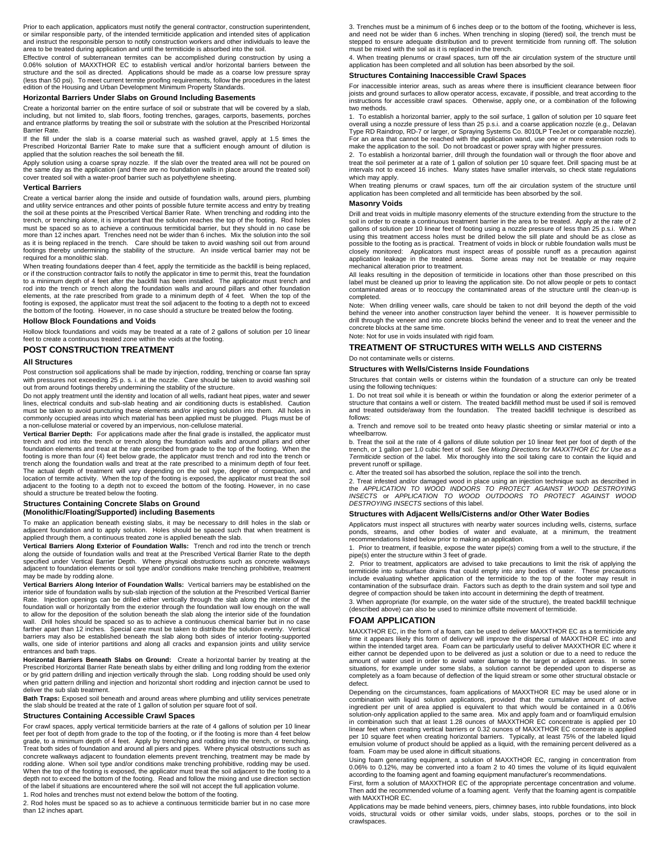Prior to each application, applicators must notify the general contractor, construction superintendent, or similar responsible party, of the intended termiticide application and intended sites of application and instruct the responsible person to notify construction workers and other individuals to leave the area to be treated during application and until the termiticide is absorbed into the soil.

Effective control of subterranean termites can be accomplished during construction by using a 0.06% solution of MAXXTHOR EC to establish vertical and/or horizontal barriers between the structure and the soil as directed. Applications should be made as a coarse low pressure spray (less than 50 psi). To meet current termite proofing requirements, follow the procedures in the latest edition of the Housing and Urban Development Minimum Property Standards.

#### **Horizontal Barriers Under Slabs on Ground Including Basements**

Create a horizontal barrier on the entire surface of soil or substrate that will be covered by a slab, including, but not limited to, slab floors, footing trenches, garages, carports, basements, porches and entrance platforms by treating the soil or substrate with the solution at the Prescribed Horizontal Barrier Rate.

If the fill under the slab is a coarse material such as washed gravel, apply at 1.5 times the Prescribed Horizontal Barrier Rate to make sure that a sufficient enough amount of dilution is applied that the solution reaches the soil beneath the fill.

Apply solution using a coarse spray nozzle. If the slab over the treated area will not be poured on the same day as the application (and there are no foundation walls in place around the treated soil) cover treated soil with a water-proof barrier such as polyethylene sheeting.

#### **Vertical Barriers**

Create a vertical barrier along the inside and outside of foundation walls, around piers, plumbing and utility service entrances and other points of possible future termite access and entry by treating the soil at these points at the Prescribed Vertical Barrier Rate. When trenching and rodding into the trench, or trenching alone, it is important that the solution reaches the top of the footing. Rod holes must be spaced so as to achieve a continuous termiticidal barrier, but they should in no case be more than 12 inches apart. Trenches need not be wider than 6 inches. Mix the solution into the soil as it is being replaced in the trench. Care should be taken to avoid washing soil out from around footings thereby undermining the stability of the structure. An inside vertical barrier may not be required for a monolithic slab.

When treating foundations deeper than 4 feet, apply the termiticide as the backfill is being replaced, or if the construction contractor fails to notify the applicator in time to permit this, treat the foundation to a minimum depth of 4 feet after the backfill has been installed. The applicator must trench and rod into the trench or trench along the foundation walls and around pillars and other foundation elements, at the rate prescribed from grade to a minimum depth of 4 feet. When the top of the footing is exposed, the applicator must treat the soil adjacent to the footing to a depth not to exceed the bottom of the footing. However, in no case should a structure be treated below the footing.

#### **Hollow Block Foundations and Voids**

Hollow block foundations and voids may be treated at a rate of 2 gallons of solution per 10 linear feet to create a continuous treated zone within the voids at the footing.

#### **POST CONSTRUCTION TREATMENT**

#### **All Structures**

Post construction soil applications shall be made by injection, rodding, trenching or coarse fan spray with pressures not exceeding 25 p. s. i. at the nozzle. Care should be taken to avoid washing soil out from around footings thereby undermining the stability of the structure.

Do not apply treatment until the identity and location of all wells, radiant heat pipes, water and sewer lines, electrical conduits and sub-slab heating and air conditioning ducts is established. Caution must be taken to avoid puncturing these elements and/or injecting solution into them. All holes in commonly occupied areas into which material has been applied must be plugged. Plugs must be of a non-cellulose material or covered by an impervious, non-cellulose material.

**Vertical Barrier Depth:** For applications made after the final grade is installed, the applicator must trench and rod into the trench or trench along the foundation walls and around pillars and other foundation elements and treat at the rate prescribed from grade to the top of the footing. When the footing is more than four (4) feet below grade, the applicator must trench and rod into the trench or trench along the foundation walls and treat at the rate prescribed to a minimum depth of four feet. The actual depth of treatment will vary depending on the soil type, degree of compaction, and location of termite activity. When the top of the footing is exposed, the applicator must treat the soil adjacent to the footing to a depth not to exceed the bottom of the footing. However, in no case should a structure be treated below the footing.

## **Structures Containing Concrete Slabs on Ground**

**(Monolithic/Floating/Supported) including Basements**

To make an application beneath existing slabs, it may be necessary to drill holes in the slab or adjacent foundation and to apply solution. Holes should be spaced such that when treatment is applied through them, a continuous treated zone is applied beneath the slab.

**Vertical Barriers Along Exterior of Foundation Walls:** Trench and rod into the trench or trench along the outside of foundation walls and treat at the Prescribed Vertical Barrier Rate to the depth<br>specified under Vertical Barrier Depth. Where physical obstructions such as concrete walkways<br>adjacent to foundation elem may be made by rodding alone.

**Vertical Barriers Along Interior of Foundation Walls:** Vertical barriers may be established on the interior side of foundation walls by sub-slab injection of the solution at the Prescribed Vertical Barrier Rate. Injection openings can be drilled either vertically through the slab along the interior of the foundation wall or horizontally from the exterior through the foundation wall low enough on the wall to allow for the deposition of the solution beneath the slab along the interior side of the foundation wall. Drill holes should be spaced so as to achieve a continuous chemical barrier but in no case farther apart than 12 inches. Special care must be taken to distribute the solution evenly. Vertical barriers may also be established beneath the slab along both sides of interior footing-supported walls, one side of interior partitions and along all cracks and expansion joints and utility service entrances and bath traps.

**Horizontal Barriers Beneath Slabs on Ground:** Create a horizontal barrier by treating at the Prescribed Horizontal Barrier Rate beneath slabs by either drilling and long rodding from the exterior or by grid pattern drilling and injection vertically through the slab. Long rodding should be used only when grid pattern drilling and injection and horizontal short rodding and injection cannot be used to deliver the sub slab treatment.

**Bath Traps:** Exposed soil beneath and around areas where plumbing and utility services penetrate the slab should be treated at the rate of 1 gallon of solution per square foot of soil.

#### **Structures Containing Accessible Crawl Spaces**

For crawl spaces, apply vertical termiticide barriers at the rate of 4 gallons of solution per 10 linear feet per foot of depth from grade to the top of the footing, or if the footing is more than 4 feet below grade, to a minimum depth of 4 feet. Apply by trenching and rodding into the trench, or trenching.<br>Treat both sides of foundation and around all piers and pipes. Where physical obstructions such as<br>concrete walkways adja rodding alone. When soil type and/or conditions make trenching prohibitive, rodding may be used. When the top of the footing is exposed, the applicator must treat the soil adjacent to the footing to a depth not to exceed the bottom of the footing. Read and follow the mixing and use direction section of the label if situations are encountered where the soil will not accept the full application volume.

1. Rod holes and trenches must not extend below the bottom of the footing.

2. Rod holes must be spaced so as to achieve a continuous termiticide barrier but in no case more than 12 inches apart.

3. Trenches must be a minimum of 6 inches deep or to the bottom of the footing, whichever is less, and need not be wider than 6 inches. When trenching in sloping (tiered) soil, the trench must be stepped to ensure adequate distribution and to prevent termiticide from running off. The solution must be mixed with the soil as it is replaced in the trench.

4. When treating plenums or crawl spaces, turn off the air circulation system of the structure until application has been completed and all solution has been absorbed by the soil.

#### **Structures Containing Inaccessible Crawl Spaces**

For inaccessible interior areas, such as areas where there is insufficient clearance between floor joists and ground surfaces to allow operator access, excavate, if possible, and treat according to the instructions for accessible crawl spaces. Otherwise, apply one, or a combination of the following two methods.

1. To establish a horizontal barrier, apply to the soil surface, 1 gallon of solution per 10 square feet<br>overall using a nozzle pressure of less than 25 p.s.i. and a coarse application nozzle (e.g., Delavan<br>Type RD Raindro make the application to the soil. Do not broadcast or power spray with higher pressures.

2. To establish a horizontal barrier, drill through the foundation wall or through the floor above and treat the soil perimeter at a rate of 1 gallon of solution per 10 square feet. Drill spacing must be at intervals not to exceed 16 inches. Many states have smaller intervals, so check state regulations which may apply.

When treating plenums or crawl spaces, turn off the air circulation system of the structure until application has been completed and all termiticide has been absorbed by the soil.

#### **Masonry Voids**

Drill and treat voids in multiple masonry elements of the structure extending from the structure to the soil in order to create a continuous treatment barrier in the area to be treated. Apply at the rate of 2 gallons of solution per 10 linear feet of footing using a nozzle pressure of less than 25 p.s.i. When using this treatment access holes must be drilled below the sill plate and should be as close as possible to the footing as is practical. Treatment of voids in block or rubble foundation walls must be closely monitored: Applicators must inspect areas of possible runoff as a precaution against<br>application leakage in the treated areas. Some areas may not be treatable or may require mechanical alteration prior to treatment.

All leaks resulting in the deposition of termiticide in locations other than those prescribed on this label must be cleaned up prior to leaving the application site. Do not allow people or pets to contact contaminated areas or to reoccupy the contaminated areas of the structure until the clean-up is completed.

Note: When drilling veneer walls, care should be taken to not drill beyond the depth of the void behind the veneer into another construction layer behind the veneer. It is however permissible to drill through the veneer and into concrete blocks behind the veneer and to treat the veneer and the concrete blocks at the same time. Note: Not for use in voids insulated with rigid foam.

## **TREATMENT OF STRUCTURES WITH WELLS AND CISTERNS**

#### Do not contaminate wells or cisterns.

**Structures with Wells/Cisterns Inside Foundations**

Structures that contain wells or cisterns within the foundation of a structure can only be treated using the following techniques:

1. Do not treat soil while it is beneath or within the foundation or along the exterior perimeter of a structure that contains a well or cistern. The treated backfill method must be used if soil is removed and treated outside/away from the foundation. The treated backfill technique is described as follows:

a. Trench and remove soil to be treated onto heavy plastic sheeting or similar material or into a wheelbarrow.

b. Treat the soil at the rate of 4 gallons of dilute solution per 10 linear feet per foot of depth of the trench, or 1 gallon per 1.0 cubic feet of soil. See *Mixing Directions for MAXXTHOR EC for Use as a Termiticide* section of the label. Mix thoroughly into the soil taking care to contain the liquid and prevent runoff or spillage.

c. After the treated soil has absorbed the solution, replace the soil into the trench.

2. Treat infested and/or damaged wood in place using an injection technique such as described in the *APPLICATION TO WOOD INDOORS TO PROTECT AGAINST WOOD DESTROYING INSECTS* or *APPLICATION TO WOOD OUTDOORS TO PROTECT AGAINST WOOD DESTROYING INSECTS* sections of this label.

#### **Structures with Adjacent Wells/Cisterns and/or Other Water Bodies**

Applicators must inspect all structures with nearby water sources including wells, cisterns, surface ponds, streams, and other bodies of water and evaluate, at a minimum, the treatment recommendations listed below prior to making an application.

1. Prior to treatment, if feasible, expose the water pipe(s) coming from a well to the structure, if the pipe(s) enter the structure within 3 feet of grade.

2. Prior to treatment, applicators are advised to take precautions to limit the risk of applying the termiticide into subsurface drains that could empty into any bodies of water. These precauti include evaluating whether application of the termiticide to the top of the footer may result in contamination of the subsurface drain. Factors such as depth to the drain system and soil type and degree of compaction should be taken into account in determining the depth of treatment.

3. When appropriate (for example, on the water side of the structure), the treated backfill technique (described above) can also be used to minimize offsite movement of termiticide.

#### **FOAM APPLICATION**

MAXXTHOR EC, in the form of a foam, can be used to deliver MAXXTHOR EC as a termiticide any time it appears likely this form of delivery will improve the dispersal of MAXXTHOR EC into and within the intended target area. Foam can be particularly useful to deliver MAXXTHOR EC where it either cannot be depended upon to be delivered as just a solution or due to a need to reduce the amount of water used in order to avoid water damage to the target or adjacent areas. In some situations, for example under some slabs, a solution cannot be depended upon to disperse as completely as a foam because of deflection of the liquid stream or some other structural obstacle or defect.

Depending on the circumstances, foam applications of MAXXTHOR EC may be used alone or in combination with liquid solution applications, provided that the cumulative amount of active ingredient per unit of area applied is equivalent to that which would be contained in a 0.06% solution-only application applied to the same area. Mix and apply foam and or foam/liquid emulsion in combination such that at least 1.28 ounces of MAXXTHOR EC concentrate is applied per 10 linear feet when creating vertical barriers or 0.32 ounces of MAXXTHOR EC concentrate is applied per 10 square feet when creating horizontal barriers. Typically, at least 75% of the labeled liquid emulsion volume of product should be applied as a liquid, with the remaining percent delivered as a foam. Foam may be used alone in difficult situations.

Using foam generating equipment, a solution of MAXXTHOR EC, ranging in concentration from 0.06% to 0.12%, may be converted into a foam 2 to 40 times the volume of its liquid equivalent according to the foaming agent and foaming equipment manufacturer's recommendations.

First, form a solution of MAXXTHOR EC of the appropriate percentage concentration and volume. Then add the recommended volume of a foaming agent. Verify that the foaming agent is compatible with MAXXTHOR EC.

Applications may be made behind veneers, piers, chimney bases, into rubble foundations, into block voids, structural voids or other similar voids, under slabs, stoops, porches or to the soil in crawlspaces.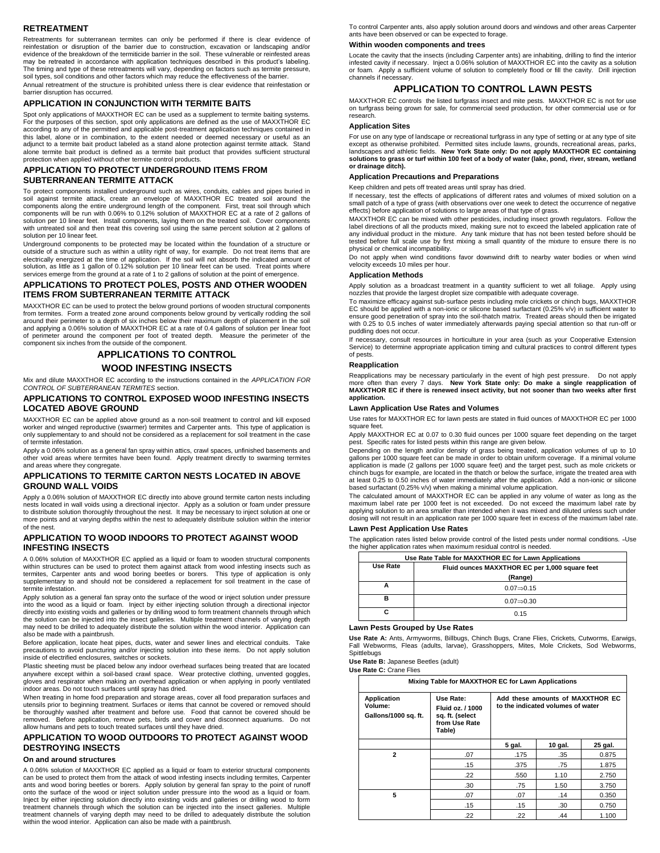#### **RETREATMENT**

Retreatments for subterranean termites can only be performed if there is clear evidence of reinfestation or disruption of the barrier due to construction, excavation or landscaping and/or evidence of the breakdown of the termiticide barrier in the soil. These vulnerable or reinfested areas may be retreated in accordance with application techniques described in this product's labeling. The timing and type of these retreatments will vary, depending on factors such as termite pressure, soil types, soil conditions and other factors which may reduce the effectiveness of the barrier. Annual retreatment of the structure is prohibited unless there is clear evidence that reinfestation or barrier disruption has occurred.

#### **APPLICATION IN CONJUNCTION WITH TERMITE BAITS**

Spot only applications of MAXXTHOR EC can be used as a supplement to termite baiting systems. For the purposes of this section, spot only applications are defined as the use of MAXXTHOR EC according to any of the permitted and applicable post-treatment application techniques contained in this label, alone or in combination, to the extent needed or deemed necessary or useful as an adjunct to a termite bait product labeled as a stand alone protection against termite attack. Stand alone termite bait product is defined as a termite bait product that provides sufficient structural protection when applied without other termite control products.

## **APPLICATION TO PROTECT UNDERGROUND ITEMS FROM SUBTERRANEAN TERMITE ATTACK**

To protect components installed underground such as wires, conduits, cables and pipes buried in against termite attack, create an envelope of MAXXTHOR EC treated soil around the components along the entire underground length of the component. First, treat soil through which components will be run with 0.06% to 0.12% solution of MAXXTHOR EC at a rate of 2 gallons of solution per 10 linear feet. Install components, laying them on the treated soil. Cover components with untreated soil and then treat this covering soil using the same percent solution at 2 gallons of solution per 10 linear feet.

Underground components to be protected may be located within the foundation of a structure or outside of a structure such as within a utility right of way, for example. Do not treat items that are electrically energized at the time of application. If the soil will not absorb the indicated amount of solution, as little as 1 gallon of 0.12% solution per 10 linear feet can be used. Treat points where services emerge from the ground at a rate of 1 to 2 gallons of solution at the point of emergence.

#### **APPLICATIONS TO PROTECT POLES, POSTS AND OTHER WOODEN ITEMS FROM SUBTERRANEAN TERMITE ATTACK**

MAXXTHOR EC can be used to protect the below ground portions of wooden structural components from termites. Form a treated zone around components below ground by vertically rodding the soil around their perimeter to a depth of six inches below their maximum depth of placement in the soil and applying a 0.06% solution of MAXXTHOR EC at a rate of 0.4 gallons of solution per linear foot of perimeter around the component per foot of treated depth. Measure the perimeter of the component six inches from the outside of the component.

## **APPLICATIONS TO CONTROL**

## **WOOD INFESTING INSECTS**

Mix and dilute MAXXTHOR EC according to the instructions contained in the *APPLICATION FOR CONTROL OF SUBTERRANEAN TERMITES* section.

#### **APPLICATIONS TO CONTROL EXPOSED WOOD INFESTING INSECTS LOCATED ABOVE GROUND**

MAXXTHOR EC can be applied above ground as a non-soil treatment to control and kill exposed worker and winged reproductive (swarmer) termites and Carpenter ants. This type of application is only supplementary to and should not be considered as a replacement for soil treatment in the case of termite infestation.

Apply a 0.06% solution as a general fan spray within attics, crawl spaces, unfinished basements and other void areas where termites have been found. Apply treatment directly to swarming termites and areas where they congregate.

#### **APPLICATIONS TO TERMITE CARTON NESTS LOCATED IN ABOVE GROUND WALL VOIDS**

Apply a 0.06% solution of MAXXTHOR EC directly into above ground termite carton nests including nests located in wall voids using a directional injector. Apply as a solution or foam under pressure to distribute solution thoroughly throughout the nest. It may be necessary to inject solution at one or more points and at varying depths within the nest to adequately distribute solution within the interior of the nest.

#### **APPLICATION TO WOOD INDOORS TO PROTECT AGAINST WOOD INFESTING INSECTS**

A 0.06% solution of MAXXTHOR EC applied as a liquid or foam to wooden structural components within structures can be used to protect them against attack from wood infesting insects such as termites, Carpenter ants and wood boring beetles or borers. This type of application is only supplementary to and should not be considered a replacement for soil treatment in the case of termite infestation.

Apply solution as a general fan spray onto the surface of the wood or inject solution under pressure into the wood as a liquid or foam. Inject by either injecting solution through a directional injector directly into existing voids and galleries or by drilling wood to form treatment channels through which the solution can be injected into the insect galleries. Multiple treatment channels of varying depth may need to be drilled to adequately distribute the solution within the wood interior. Application can also be made with a paintbrush.

Before application, locate heat pipes, ducts, water and sewer lines and electrical conduits. Take precautions to avoid puncturing and/or injecting solution into these items. Do not apply solution inside of electrified enclosures, switches or sockets.

Plastic sheeting must be placed below any indoor overhead surfaces being treated that are located anywhere except within a soil-based crawl space. Wear protective clothing, unvented goggles, gloves and respirator when making an overhead application or when applying in poorly ventilated indoor areas. Do not touch surfaces until spray has dried.

When treating in home food preparation and storage areas, cover all food preparation surfaces and utensils prior to beginning treatment. Surfaces or items that cannot be covered or removed should be thoroughly washed after treatment and before use. Food that cannot be covered should be removed. Before application, remove pets, birds and cover and disconnect aquariums. Do not allow humans and pets to touch treated surfaces until they have dried.

#### **APPLICATION TO WOOD OUTDOORS TO PROTECT AGAINST WOOD DESTROYING INSECTS**

#### **On and around structures**

A 0.06% solution of MAXXTHOR EC applied as a liquid or foam to exterior structural components can be used to protect them from the attack of wood infesting insects including termites, Carpenter ants and wood boring beetles or borers. Apply solution by general fan spray to the point of runoff onto the surface of the wood or inject solution under pressure into the wood as a liquid or foam. Inject by either injecting solution directly into existing voids and galleries or drilling wood to form treatment channels through which the solution can be injected into the insect galleries. Multiple treatment channels of varying depth may need to be drilled to adequately distribute the solution within the wood interior. Application can also be made with a paintbrush. To control Carpenter ants, also apply solution around doors and windows and other areas Carpenter ants have been observed or can be expected to forage.

## **Within wooden components and trees**

Locate the cavity that the insects (including Carpenter ants) are inhabiting, drilling to find the interior infested cavity if necessary. Inject a 0.06% solution of MAXXTHOR EC into the cavity as a solution or foam. Apply a sufficient volume of solution to completely flood or fill the cavity. Drill injection channels if necessary.

#### **APPLICATION TO CONTROL LAWN PESTS**

MAXXTHOR EC controls the listed turfgrass insect and mite pests. MAXXTHOR EC is not for use on turfgrass being grown for sale, for commercial seed production, for other commercial use or for research.

#### **Application Sites**

For use on any type of landscape or recreational turfgrass in any type of setting or at any type of site except as otherwise prohibited. Permitted sites include lawns, grounds, recreational areas, parks, landscapes and athletic fields. **New York State only: Do not apply MAXXTHOR EC containing solutions to grass or turf within 100 feet of a body of water (lake, pond, river, stream, wetland or drainage ditch).**

#### **Application Precautions and Preparations**

Keep children and pets off treated areas until spray has dried.

If necessary, test the effects of applications of different rates and volumes of mixed solution on a small patch of a type of grass (with observations over one week to detect the occurrence of negative effects) before application of solutions to large areas of that type of grass.

MAXXTHOR EC can be mixed with other pesticides, including insect growth regulators. Follow the label directions of all the products mixed, making sure not to exceed the labeled application rate of any individual product in the mixture. Any tank mixture that has not been tested before should be tested before full scale use by first mixing a small quantity of the mixture to ensure there is no physical or chemical incompatibility.

Do not apply when wind conditions favor downwind drift to nearby water bodies or when wind velocity exceeds 10 miles per hour.

#### **Application Methods**

Apply solution as a broadcast treatment in a quantity sufficient to wet all foliage. Apply using nozzles that provide the largest droplet size compatible with adequate coverage.

To maximize efficacy against sub-surface pests including mole crickets or chinch bugs, MAXXTHOR EC should be applied with a non-ionic or silicone based surfactant (0.25% v/v) in sufficient water to ensure good penetration of spray into the soil-thatch matrix. Treated areas should then be irrigated with 0.25 to 0.5 inches of water immediately afterwards paying special attention so that run-off or puddling does not occur.

If necessary, consult resources in horticulture in your area (such as your Cooperative Extension Service) to determine appropriate application timing and cultural practices to control different types of pests.

#### **Reapplication**

Reapplications may be necessary particularly in the event of high pest pressure. Do not apply more often than every 7 days. **New York State only: Do make a single reapplication of MAXXTHOR EC if there is renewed insect activity, but not sooner than two weeks after first application.** 

#### **Lawn Application Use Rates and Volumes**

Use rates for MAXXTHOR EC for lawn pests are stated in fluid ounces of MAXXTHOR EC per 1000 square feet

Apply MAXXTHOR EC at 0.07 to 0.30 fluid ounces per 1000 square feet depending on the target pest. Specific rates for listed pests within this range are given below.

Depending on the length and/or density of grass being treated, application volumes of up to 10 gallons per 1000 square feet can be made in order to obtain uniform coverage. If a minimal volume application is made (2 gallons per 1000 square feet) and the target pest, such as mole crickets or chinch bugs for example, are located in the thatch or below the surface, irrigate the treated area with at least 0.25 to 0.50 inches of water immediately after the application. Add a non-ionic or silicone based surfactant (0.25% v/v) when making a minimal volume application.

The calculated amount of MAXXTHOR EC can be applied in any volume of water as long as the maximum label rate per 1000 feet is not exceeded. Do not exceed the maximum label rate by applying solution to an area smaller than intended when it was mixed and diluted unless such under dosing will not result in an application rate per 1000 square feet in excess of the maximum label rate.

#### **Lawn Pest Application Use Rates**

The application rates listed below provide control of the listed pests under normal conditions. - Use the higher application rates when maximum residual control is needed.

|                                                            | Use Rate Table for MAXXTHOR EC for Lawn Applications |  |  |
|------------------------------------------------------------|------------------------------------------------------|--|--|
| Use Rate<br>Fluid ounces MAXXTHOR EC per 1,000 square feet |                                                      |  |  |
|                                                            | (Range)                                              |  |  |
|                                                            | $0.07 \implies 0.15$                                 |  |  |
| в                                                          | $0.07 \implies 0.30$                                 |  |  |
|                                                            | 0.15                                                 |  |  |

#### **Lawn Pests Grouped by Use Rates**

**Use Rate A:** Ants, Armyworms, Billbugs, Chinch Bugs, Crane Flies, Crickets, Cutworms, Earwigs, Fall Webworms, Fleas (adults, larvae), Grasshoppers, Mites, Mole Crickets, Sod Webworms, Spittlebugs

**Use Rate B:** Japanese Beetles (adult)

**Use Rate C:** Crane Flies

| Mixing Table for MAXXTHOR EC for Lawn Applications    |                                                                             |                                                                       |         |         |
|-------------------------------------------------------|-----------------------------------------------------------------------------|-----------------------------------------------------------------------|---------|---------|
| <b>Application</b><br>Volume:<br>Gallons/1000 sq. ft. | Use Rate:<br>Fluid oz. / 1000<br>sq. ft. (select<br>from Use Rate<br>Table) | Add these amounts of MAXXTHOR EC<br>to the indicated volumes of water |         |         |
|                                                       |                                                                             | 5 gal.                                                                | 10 gal. | 25 gal. |
| 2                                                     | .07                                                                         | .175                                                                  | .35     | 0.875   |
|                                                       | .15                                                                         | .375                                                                  | .75     | 1.875   |
|                                                       | .22                                                                         | .550                                                                  | 1.10    | 2.750   |
|                                                       | .30                                                                         | .75                                                                   | 1.50    | 3.750   |
| 5                                                     | .07                                                                         | .07                                                                   | .14     | 0.350   |
|                                                       | .15                                                                         | .15                                                                   | .30     | 0.750   |
|                                                       | .22                                                                         | .22                                                                   | .44     | 1.100   |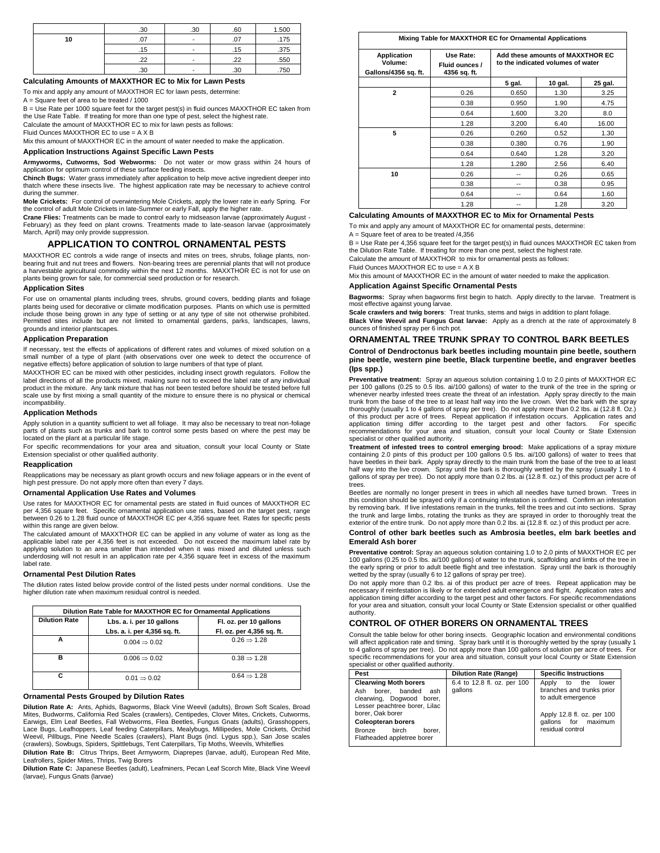|    | .30 | .30 | .60 | 1.500 |
|----|-----|-----|-----|-------|
| 10 | .07 |     | .07 | .175  |
|    | .15 |     | .15 | .375  |
|    | .22 |     | .22 | .550  |
|    | .30 |     | .30 | .750  |

## **Calculating Amounts of MAXXTHOR EC to Mix for Lawn Pests**

To mix and apply any amount of MAXXTHOR EC for lawn pests, determine:

A = Square feet of area to be treated / 1000

B = Use Rate per 1000 square feet for the target pest(s) in fluid ounces MAXXTHOR EC taken from the Use Rate Table. If treating for more than one type of pest, select the highest rate. Calculate the amount of MAXXTHOR EC to mix for lawn pests as follows:

Fluid Ounces MAXXTHOR EC to use = A X B

Mix this amount of MAXXTHOR EC in the amount of water needed to make the application.

## **Application Instructions Against Specific Lawn Pests**

**Armyworms, Cutworms, Sod Webworms:** Do not water or mow grass within 24 hours of application for optimum control of these surface feeding insects.

**Chinch Bugs:** Water grass immediately after application to help move active ingredient deeper into thatch where these insects live. The highest application rate may be necessary to achieve control during the summer.

**Mole Crickets:** For control of overwintering Mole Crickets, apply the lower rate in early Spring. For the control of adult Mole Crickets in late-Summer or early Fall, apply the higher rate.

**Crane Flies:** Treatments can be made to control early to midseason larvae (approximately August - February) as they feed on plant crowns. Treatments made to late-season larvae (approximately March, April) may only provide suppression.

#### **APPLICATION TO CONTROL ORNAMENTAL PESTS**

MAXXTHOR EC controls a wide range of insects and mites on trees, shrubs, foliage plants, nonbearing fruit and nut trees and flowers. Non-bearing trees are perennial plants that will not produce a harvestable agricultural commodity within the next 12 months. MAXXTHOR EC is not for use on plants being grown for sale, for commercial seed production or for research.

#### **Application Sites**

For use on ornamental plants including trees, shrubs, ground covers, bedding plants and foliage plants being used for decorative or climate modification purposes. Plants on which use is permitted include those being grown in any type of setting or at any type of site not otherwise prohibited. Permitted sites include but are not limited to ornamental gardens, parks, landscapes, lawns, grounds and interior plantscapes.

#### **Application Preparation**

If necessary, test the effects of applications of different rates and volumes of mixed solution on a small number of a type of plant (with observations over one week to detect the occurrence of negative effects) before application of solution to large numbers of that type of plant.

MAXXTHOR EC can be mixed with other pesticides, including insect growth regulators. Follow the label directions of all the products mixed, making sure not to exceed the label rate of any individual product in the mixture. Any tank mixture that has not been tested before should be tested before full scale use by first mixing a small quantity of the mixture to ensure there is no physical or chemical incompatibility.

#### **Application Methods**

Apply solution in a quantity sufficient to wet all foliage. It may also be necessary to treat non-foliage parts of plants such as trunks and bark to control some pests based on where the pest may be located on the plant at a particular life stage.

For specific recommendations for your area and situation, consult your local County or State Extension specialist or other qualified authority.

#### **Reapplication**

Reapplications may be necessary as plant growth occurs and new foliage appears or in the event of high pest pressure. Do not apply more often than every 7 days.

## **Ornamental Application Use Rates and Volumes**

Use rates for MAXXTHOR EC for ornamental pests are stated in fluid ounces of MAXXTHOR EC per 4,356 square feet. Specific ornamental application use rates, based on the target pest, range between 0.26 to 1.28 fluid ounce of MAXXTHOR EC per 4,356 square feet. Rates for specific pests within this range are given below.

The calculated amount of MAXXTHOR EC can be applied in any volume of water as long as the applicable label rate per 4,356 feet is not exceeded. Do not exceed the maximum label rate by applying solution to an area smaller than intended when it was mixed and diluted unless such underdosing will not result in an application rate per 4,356 square feet in excess of the maximum label rate.

#### **Ornamental Pest Dilution Rates**

The dilution rates listed below provide control of the listed pests under normal conditions. Use the higher dilution rate when maximum residual control is needed.

| Dilution Rate Table for MAXXTHOR EC for Ornamental Applications |                              |                           |  |
|-----------------------------------------------------------------|------------------------------|---------------------------|--|
| <b>Dilution Rate</b><br>Lbs. a. i. per 10 gallons               |                              | Fl. oz. per 10 gallons    |  |
|                                                                 | Lbs. a. i. per 4,356 sq. ft. | Fl. oz. per 4,356 sq. ft. |  |
|                                                                 | $0.004 \Rightarrow 0.02$     | $0.26 \Rightarrow 1.28$   |  |
| в                                                               | $0.006 \Rightarrow 0.02$     | $0.38 \Rightarrow 1.28$   |  |
| c                                                               | $0.01 \implies 0.02$         | $0.64 \implies 1.28$      |  |

#### **Ornamental Pests Grouped by Dilution Rates**

**Dilution Rate A:** Ants, Aphids, Bagworms, Black Vine Weevil (adults), Brown Soft Scales, Broad Mites, Budworms, California Red Scales (crawlers), Centipedes, Clover Mites, Crickets, Cutworms, Earwigs, Elm Leaf Beetles, Fall Webworms, Flea Beetles, Fungus Gnats (adults), Grasshoppers, Lace Bugs, Leafhoppers, Leaf feeding Caterpillars, Mealybugs, Millipedes, Mole Crickets, Orchid<br>Weevil, Pillbugs, Pine Needle Scales (crawlers), Plant Bugs (incl. Lygus spp.), San Jose scales<br>(crawlers), Sowbugs, Spiders,

**Dilution Rate B:** Citrus Thrips, Beet Armyworm, Diaprepes (larvae, adult), European Red Mite, Leafrollers, Spider Mites, Thrips, Twig Borers

**Dilution Rate C:** Japanese Beetles (adult), Leafminers, Pecan Leaf Scorch Mite, Black Vine Weevil (larvae), Fungus Gnats (larvae)

#### **Mixing Table for MAXXTHOR EC for Ornamental Applications**

| Application<br>Volume:<br>Gallons/4356 sq. ft. | Use Rate:<br>Fluid ounces /<br>4356 sq. ft. | Add these amounts of MAXXTHOR EC<br>to the indicated volumes of water |         |         |
|------------------------------------------------|---------------------------------------------|-----------------------------------------------------------------------|---------|---------|
|                                                |                                             | 5 gal.                                                                | 10 gal. | 25 gal. |
| $\mathbf{2}$                                   | 0.26                                        | 0.650                                                                 | 1.30    | 3.25    |
|                                                | 0.38                                        | 0.950                                                                 | 1.90    | 4.75    |
|                                                | 0.64                                        | 1.600                                                                 | 3.20    | 8.0     |
|                                                | 1.28                                        | 3.200                                                                 | 6.40    | 16.00   |
| 5                                              | 0.26                                        | 0.260                                                                 | 0.52    | 1.30    |
|                                                | 0.38                                        | 0.380                                                                 | 0.76    | 1.90    |
|                                                | 0.64                                        | 0.640                                                                 | 1.28    | 3.20    |
|                                                | 1.28                                        | 1.280                                                                 | 2.56    | 6.40    |
| 10                                             | 0.26                                        | --                                                                    | 0.26    | 0.65    |
|                                                | 0.38                                        | --                                                                    | 0.38    | 0.95    |
|                                                | 0.64                                        | --                                                                    | 0.64    | 1.60    |
|                                                | 1.28                                        | --                                                                    | 1.28    | 3.20    |

#### **Calculating Amounts of MAXXTHOR EC to Mix for Ornamental Pests** To mix and apply any amount of MAXXTHOR EC for ornamental pests, determine:

A = Square feet of area to be treated /4,356

B = Use Rate per 4,356 square feet for the target pest(s) in fluid ounces MAXXTHOR EC taken from the Dilution Rate Table. If treating for more than one pest, select the highest rate.

Calculate the amount of MAXXTHOR to mix for ornamental pests as follows:

Fluid Ounces MAXXTHOR EC to use = A X B

Mix this amount of MAXXTHOR EC in the amount of water needed to make the application.

#### **Application Against Specific Ornamental Pests**

**Bagworms:** Spray when bagworms first begin to hatch. Apply directly to the larvae. Treatment is most effective against young larvae.

**Scale crawlers and twig borers**: Treat trunks, stems and twigs in addition to plant foliage.

**Black Vine Weevil and Fungus Gnat larvae:** Apply as a drench at the rate of approximately 8 ounces of finished spray per 6 inch pot.

## **ORNAMENTAL TREE TRUNK SPRAY TO CONTROL BARK BEETLES**

#### **Control of Dendroctonus bark beetles including mountain pine beetle, southern pine beetle, western pine beetle, Black turpentine beetle, and engraver beetles (Ips spp.)**

**Preventative treatment:** Spray an aqueous solution containing 1.0 to 2.0 pints of MAXXTHOR EC per 100 gallons (0.25 to 0.5 Ibs. ai/100 gallons) of water to the trunk of the tree in the spring or whenever nearby infested trees create the threat of an infestation. Apply spray directly to the main<br>trunk from the base of the tree to at least half way into the live crown. Wet the bark with the spray<br>thoroughly (usually of this product per acre of trees. Repeat application if infestation occurs. Application rates and application timing differ according to the target pest and other factors. For specific recommendations for your area and situation, consult your local County or State Extension specialist or other qualified authority.

**Treatment of infested trees to control emerging brood:** Make applications of a spray mixture containing 2.0 pints of this product per 100 gallons 0.5 Ibs. ai/100 gallons) of water to trees that have beetles in their bark. Apply spray directly to the main trunk from the base of the tree to at least half way into the live crown. Spray until the bark is thoroughly wetted by the spray (usually 1 to 4 gallons of spray per tree). Do not apply more than 0.2 lbs. ai (12.8 fl. oz.) of this product per acre of trees.

Beetles are normally no longer present in trees in which all needles have turned brown. Trees in this condition should be sprayed only if a continuing infestation is confirmed. Confirm an infestation by removing bark. If live infestations remain in the trunks, fell the trees and cut into sections. Spray the trunk and large limbs, rotating the trunks as they are sprayed in order to thoroughly treat the exterior of the entire trunk. Do not apply more than 0.2 Ibs. ai (12.8 fl. oz.) of this product per acre.

#### **Control of other bark beetles such as Ambrosia beetles, elm bark beetles and Emerald Ash borer**

**Preventative control:** Spray an aqueous solution containing 1.0 to 2.0 pints of MAXXTHOR EC per 100 gallons (0.25 to 0.5 Ibs. ai/100 gallons) of water to the trunk, scaffolding and limbs of the tree in the early spring or prior to adult beetle flight and tree infestation. Spray until the bark is thoroughly wetted by the spray (usually 6 to 12 gallons of spray per tree).

Do not apply more than 0.2 Ibs. ai of this product per acre of trees. Repeat application may be necessary if reinfestation is likely or for extended adult emergence and flight. Application rates and application timing differ according to the target pest and other factors. For specific recommendations for your area and situation, consult your local County or State Extension specialist or other qualified authority.

#### **CONTROL OF OTHER BORERS ON ORNAMENTAL TREES**

Consult the table below for other boring insects. Geographic location and environmental conditions will affect application rate and timing. Spray bark until it is thoroughly wetted by the spray (usually 1<br>to 4 gallons of spray per tree). Do not apply more than 100 gallons of solution per acre of trees. For<br>specific r specialist or other qualified authority.

| Pest                                                                                                                                                                                                                                            | <b>Dilution Rate (Range)</b>           | <b>Specific Instructions</b>                                                                                                                            |
|-------------------------------------------------------------------------------------------------------------------------------------------------------------------------------------------------------------------------------------------------|----------------------------------------|---------------------------------------------------------------------------------------------------------------------------------------------------------|
| <b>Clearwing Moth borers</b><br>banded<br>Ash<br>borer.<br>ash<br>clearwing, Dogwood borer,<br>Lesser peachtree borer, Lilac<br>borer. Oak borer<br><b>Coleopteran borers</b><br>birch<br><b>Bronze</b><br>borer.<br>Flatheaded appletree borer | 6.4 to 12.8 fl. oz. per 100<br>gallons | the<br>Apply<br>lower<br>to<br>branches and trunks prior<br>to adult emergence<br>Apply 12.8 fl. oz. per 100<br>gallons for maximum<br>residual control |